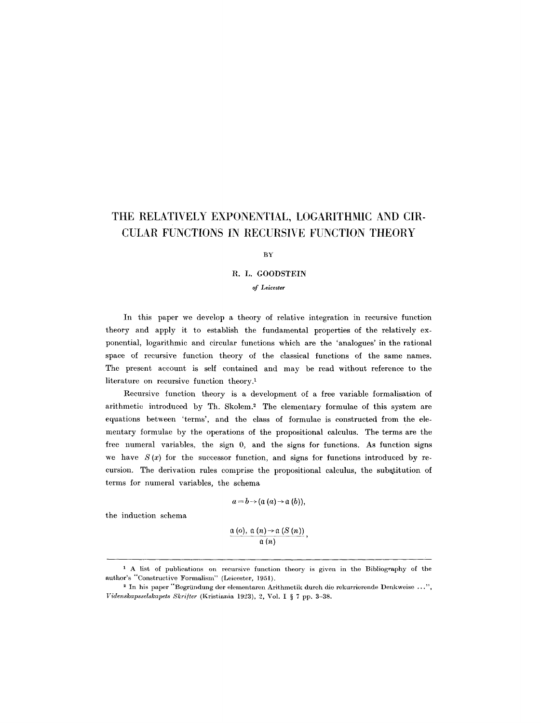# **THE RELATIVELY EXPONENTIAL, LOGARITHMIC AND CIR-CULAR FUNCTIONS IN RECURSIVE FUNCTION THEORY**

BY

# R. L. GOODSTEIN

### *of Leicester*

In this paper we develop a theory of relative integration in recursive function theory and apply it to establish the fundamental properties of the relatively exponential, logarithmic and circular functions which are the 'analogues' in the rational space of recursive function theory of the classical functions of the same names. The present account is self contained and may be read without reference to the literature on recursive function theory.<sup>1</sup>

Recursive function theory is a development of a free variable formalisation of arithmetic introduced by Th. Skolem.<sup>2</sup> The elementary formulae of this system are equations between 'terms', and the class of formulae is constructed from the elementary formulae by the operations of the propositional calculus. The terms are the free numeral variables, the sign 0, and the signs for functions. As function signs we have  $S(x)$  for the successor function, and signs for functions introduced by recursion. The derivation rules comprise the propositional calculus, the substitution of terms for numeral variables, the schema

$$
a = b \rightarrow (\mathfrak{a} (a) \rightarrow \mathfrak{a} (b)),
$$

the induction schema

$$
\frac{\alpha (o), \alpha (n) \rightarrow \alpha (S(n))}{\alpha (n)}
$$

<sup>1</sup> A list of publications on recursive function theory is given in the Bibliography of the author's "Constructive Formalism" (Leicester, 1951).

<sup>2</sup> In his paper "Begriindung der elementaren Arithmetik durch die rekurrierende Denkweise ...", *Videnskapsselskapets Skrifter* (Kristiania 1923), 2, Vol. I § 7 pp. 3-38.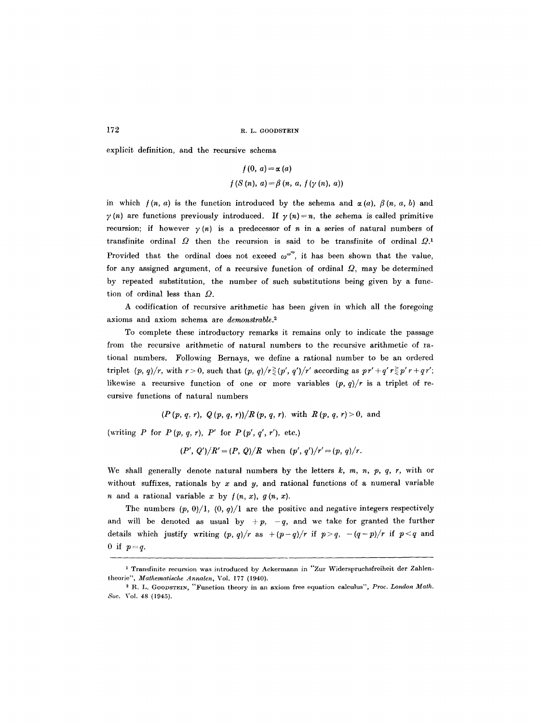explicit definition, and the recursive schema

$$
f(0, a) = \alpha(a)
$$
  

$$
f(S(n), a) = \beta(n, a, f(\gamma(n), a))
$$

in which  $f(n, a)$  is the function introduced by the schema and  $\alpha(a)$ ,  $\beta(n, a, b)$  and  $\gamma(n)$  are functions previously introduced. If  $\gamma(n)=n$ , the schema is called primitive recursion; if however  $\gamma(n)$  is a predecessor of n in a series of natural numbers of transfinite ordinal  $\Omega$  then the recursion is said to be transfinite of ordinal  $\Omega$ .<sup>1</sup> Provided that the ordinal does not exceed  $\omega^{\omega^{\omega}}$ , it has been shown that the value, for any assigned argument, of a recursive function of ordinal  $\Omega$ , may be determined by repeated substitution, the number of such substitutions being given by a function of ordinal less than  $Q$ .

A codification of recursive arithmetic has been given in which all the foregoing axioms and axiom schema are *demonstrable3* 

To complete these introductory remarks it remains only to indicate the passage from the recursive arithmetic of natural numbers to the recursive arithmetic of iational numbers. Following Bernays, we define a rational number to be an ordered triplet  $(p, q)/r$ , with  $r > 0$ , such that  $(p, q)/r \geq (p', q')/r'$  according as  $pr' + q' r \geq p' r + q r'$ ; likewise a recursive function of one or more variables  $(p, q)/r$  is a triplet of recursive functions of natural numbers

 $(P (p, q, r), Q (p, q, r))/R (p, q, r),$  with  $R (p, q, r) > 0$ , and

(writing P for  $P(p, q, r)$ ,  $P'$  for  $P(p', q', r')$ , etc.)

 $(P', Q')/R' = (P, Q)/R$  when  $(p', q')/r' = (p, q)/r$ .

We shall generally denote natural numbers by the letters *k, m, n, p, q, r,* with or without suffixes, rationals by  $x$  and  $y$ , and rational functions of a numeral variable *n* and a rational variable x by  $f(n, x)$ ,  $g(n, x)$ .

The numbers  $(p, 0)/1$ ,  $(0, q)/1$  are the positive and negative integers respectively and will be denoted as usual by  $+p$ ,  $-q$ , and we take for granted the further details which justify writing  $(p, q)/r$  as  $+(p-q)/r$  if  $p>q$ ,  $-(q-p)/r$  if  $p and$ 0 if  $p=q$ .

 $<sup>1</sup>$  Transfinite recursion was introduced by Ackermann in "Zur Widerspruchsfreiheit der Zahlen-</sup> theoric", *Mathematiache Annalen,* Vol. 177 (1940).

<sup>2</sup> R. L. GOODSTEIN, "Function theory in an axiom free equation calculus", *Proc. London Math. Soc.* VoL 48 (1945).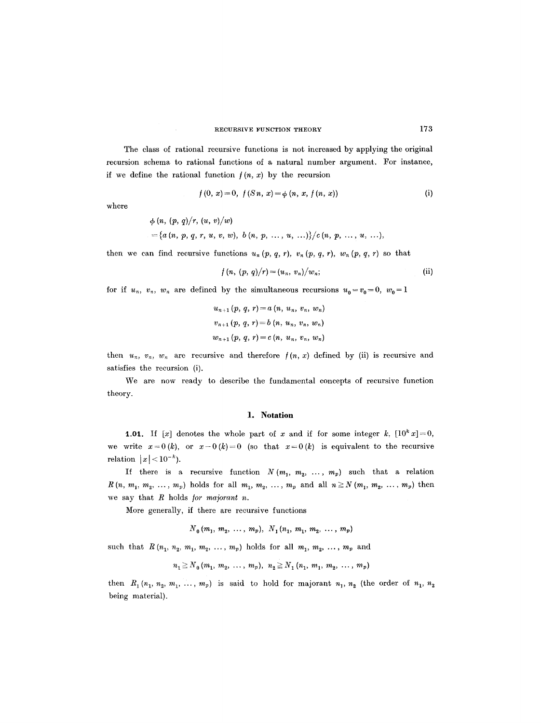The class of rational recursive functions is not increased by applying the original recursion schema to rational functions of a natural number argument. For instance, if we define the rational function  $f(n, x)$  by the recursion

$$
f(0, x) = 0, f(Sn, x) = \phi(n, x, f(n, x))
$$
 (i)

where

$$
\phi(n, (p, q)/r, (u, v)/w)
$$
  
= {a(n, p, q, r, u, v, w), b(n, p, ..., u, ...)}/c(n, p, ..., u, ...),

then we can find recursive functions  $u_n(p, q, r)$ ,  $v_n(p, q, r)$ ,  $w_n(p, q, r)$  so that

$$
f(n, (p, q)/r) = (u_n, v_n)/w_n;
$$
 (ii)

for if  $u_n$ ,  $v_n$ ,  $w_n$  are defined by the simultaneous recursions  $u_0 = v_0 = 0$ ,  $w_0 = 1$ 

$$
u_{n+1}(p, q, r) = a (n, u_n, v_n, w_n)
$$
  

$$
v_{n+1}(p, q, r) = b (n, u_n, v_n, w_n)
$$
  

$$
w_{n+1}(p, q, r) = c (n, u_n, v_n, w_n)
$$

then  $u_n$ ,  $v_n$ ,  $w_n$  are recursive and therefore  $f(n, x)$  defined by (ii) is recursive and satisfies the recursion (i).

We are now ready to describe the fundamental concepts of recursive function theory.

### **1. Notation**

**1.01.** If [x] denotes the whole part of x and if for some integer k,  $[10^k x] = 0$ , we write  $x=0(k)$ , or  $x-0(k)=0$  (so that  $x=0(k)$  is equivalent to the recursive **relation**  $|x| < 10^{-k}$ .

If there is a recursive function  $N(m_1, m_2, ..., m_p)$  such that a relation  $R(n, m_1, m_2, ..., m_p)$  holds for all  $m_1, m_2, ..., m_p$  and all  $n \ge N(m_1, m_2, ..., m_p)$  then we say that R holds *for majorant n.* 

More generally, if there are recursive functions

$$
N_0(m_1, m_2, \ldots, m_p), N_1(n_1, m_1, m_2, \ldots, m_p)
$$

such that  $R (n_1, n_2, m_1, m_2, ..., m_p)$  holds for all  $m_1, m_2, ..., m_p$  and

$$
n_1 \geq N_0(m_1, m_2, \ldots, m_p), n_2 \geq N_1(n_1, m_1, m_2, \ldots, m_p)
$$

then  $R_1(n_1, n_2, m_1, \ldots, m_p)$  is said to hold for majorant  $n_1, n_2$  (the order of  $n_1, n_2$ being material).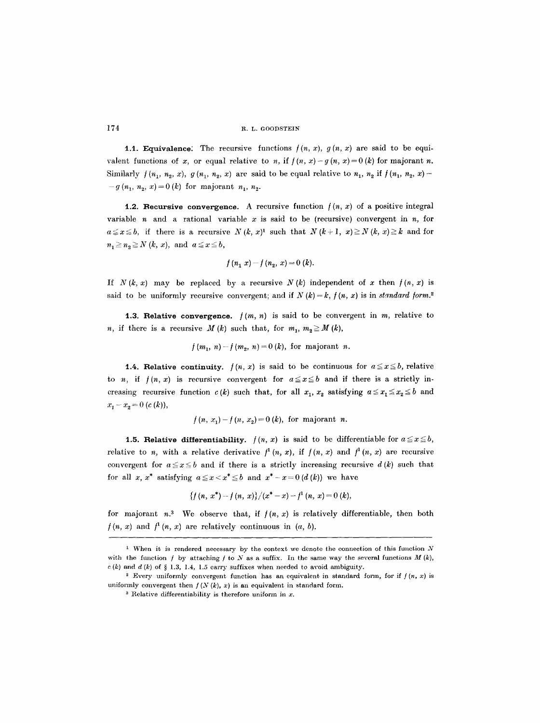**1.1. Equivalence:** The recursive functions  $f(n, x)$ ,  $g(n, x)$  are said to be equivalent functions of x, or equal relative to n, if  $f(n, x) - g(n, x) = 0$  (k) for majorant n. Similarly  $f(n_1, n_2, x)$ ,  $g(n_1, n_2, x)$  are said to be equal relative to  $n_1, n_2$  if  $f(n_1, n_2, x)$  - $-g (n_1, n_2, x) = 0 (k)$  for majorant  $n_1, n_2$ .

**1.2. Recursive convergence.** A recursive function  $f(n, x)$  of a positive integral variable *n* and a rational variable x is said to be (recursive) convergent in *n*, for  $a \leq x \leq b$ , if there is a recursive N(k, x)<sup>1</sup> such that  $N(k+1, x) \geq N(k, x) \geq k$  and for  $n_1 \ge n_2 \ge N(k, x)$ , and  $a \le x \le b$ ,

$$
f(n_1 x) - f(n_2, x) = 0 (k).
$$

If  $N(k, x)$  may be replaced by a recursive  $N(k)$  independent of x then  $f(n, x)$  is said to be uniformly recursive convergent; and if  $N(k) = k$ ,  $f(n, x)$  is in *standard form.*<sup>2</sup>

**1.3. Relative convergence.**  $f(m, n)$  is said to be convergent in m, relative to *n*, if there is a recursive  $M(k)$  such that, for  $m_1, m_2 \geq M(k)$ ,

 $f(m_1, n) - f(m_2, n) = 0 (k)$ , for majorant n.

**1.4. Relative continuity.**  $f(n, x)$  is said to be continuous for  $a \leq x \leq b$ , relative to *n*, if  $f(n, x)$  is recursive convergent for  $a \le x \le b$  and if there is a strictly increasing recursive function  $c(k)$  such that, for all  $x_1, x_2$  satisfying  $a \le x_1 \le x_2 \le b$  and  $x_1 - x_2 = 0$  (c (k)),

$$
f(n, x_1) - f(n, x_2) = 0 (k),
$$
 for majorant n.

**1.5. Relative differentiability.**  $f(n, x)$  is said to be differentiable for  $a \le x \le b$ , relative to *n*, with a relative derivative  $f^{1}(n, x)$ , if  $f(n, x)$  and  $f^{1}(n, x)$  are recursive convergent for  $a \le x \le b$  and if there is a strictly increasing recursive  $d(k)$  such that for all x, x\* satisfying  $a \le x < x^* \le b$  and  $x^* - x = 0$  (d(k)) we have

$$
\frac{f(n, x^*) - f(n, x)}{x^* - x} - f^{(n, x)} = 0 (k),
$$

for majorant n.<sup>3</sup> We observe that, if  $f(n, x)$  is relatively differentiable, then both  $f(n, x)$  and  $f^1(n, x)$  are relatively continuous in  $(a, b)$ .

<sup>&</sup>lt;sup>1</sup> When it is rendered necessary by the context we denote the connection of this function  $N$ with the function  $f$  by attaching  $f$  to  $N$  as a suffix. In the same way the several functions  $M(k)$ ,  $c(k)$  and  $d(k)$  of  $\S$  1.3, 1.4, 1.5 carry suffixes when needed to avoid ambiguity.

<sup>&</sup>lt;sup>2</sup> Every uniformly convergent function has an equivalent in standard form, for if  $f(n, x)$  is uniformly convergent then  $f(N(k), x)$  is an equivalent in standard form.

 $^3$  Relative differentiability is therefore uniform in x.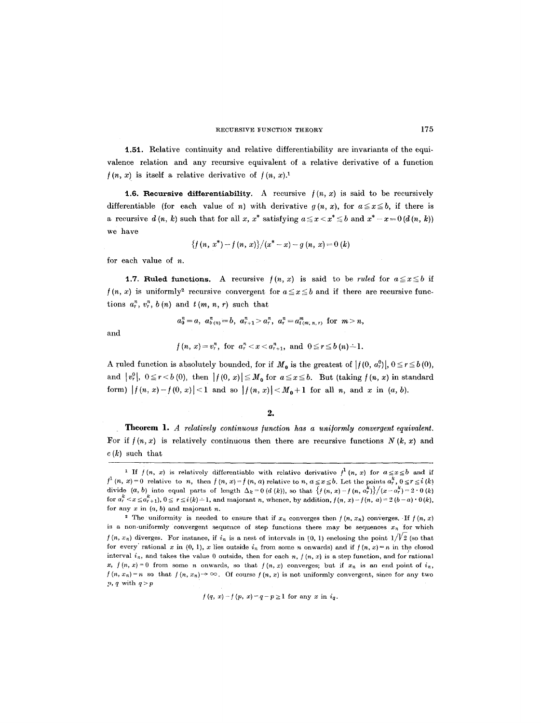1.51. Relative continuity and relative differentiability are invariants of the equivalence relation and any recursive equivalent of a relative derivative of a function  $f(n, x)$  is itself a relative derivative of  $f(n, x)$ .

**1.6. Recursive differentiability.** A recursive  $f(n, x)$  is said to be recursively differentiable (for each value of *n*) with derivative  $g(n, x)$ , for  $a \le x \le b$ , if there is a recursive  $d (n, k)$  such that for all x, x\* satisfying  $a \le x < x^* \le b$  and  $x^* - x = 0$  ( $d (n, k)$ ) we have

$$
\frac{f(n, x^*) - f(n, x)}{x^* - x} - g(n, x) = 0 (k)
$$

for each value of n.

**1.7. Ruled functions.** A recursive  $f(n, x)$  is said to be *ruled* for  $a \le x \le b$  if  $f(n, x)$  is uniformly<sup>2</sup> recursive convergent for  $a \le x \le b$  and if there are recursive functions  $a_r^n$ ,  $v_r^n$ ,  $b(n)$  and  $t (m, n, r)$  such that

and

$$
a_0^n = a, a_{b(n)}^n = b, a_{r+1}^n > a_r^n, a_r^n = a_{t(m, n, r)}^m
$$
 for  $m > n$ ,

$$
f(n, x) = v_r^n
$$
, for  $a_r^n < x < a_{r+1}^n$ , and  $0 \leq r \leq b(n) - 1$ .

A ruled function is absolutely bounded, for if  $M_0$  is the greatest of  $|f(0, a_\tau^0)|, 0 \leq \tau \leq b(0),$ and  $|v_r^0|$ ,  $0 \le r < b(0)$ , then  $|f(0, x)| \le M_0$  for  $a \le x \le b$ . But (taking  $f(n, x)$  in standard form)  $|f(n, x)-f(0, x)| < 1$  and so  $|f(n, x)| < M_0 + 1$  for all n, and x in  $(a, b)$ .

 $2.$ 

**Theorem 1.** A relatively continuous function has a uniformly convergent equivalent. For if  $f(n, x)$  is relatively continuous then there are recursive functions  $N (k, x)$  and  $c(k)$  such that

 $f(q, x)-f(p, x)=q-p\geq 1$  for any x in  $i_q$ .

<sup>&</sup>lt;sup>1</sup> If  $f(n, x)$  is relatively differentiable with relative derivative  $f^{1}(n, x)$  for  $a \le x \le b$  and if  $f^1(n, x)=0$  relative to *n*, then  $f(n, x)=f(n, a)$  relative to *n*,  $a \le x \le b$ . Let the points  $a_r^k$ ,  $0 \le r \le i(k)$ divide  $(a, b)$  into equal parts of length  $\Delta_k = 0$   $(d (k))$ , so that  $\{f(n, x) - f(n, a_r^k)\} / (x - a_r^k) = 2 \cdot 0$   $(k)$ for  $a_r^k < x \le a_{r+1}^k$ ,  $0 \le r \le i(k) - 1$ , and majorant n, whence, by addition,  $f(n, x) - f(n, a) = 2(b-a) \cdot 0(k)$ , for any  $x$  in  $(a, b)$  and majorant  $n$ .

<sup>&</sup>lt;sup>2</sup> The uniformity is needed to ensure that if  $x_n$  converges then  $f(n, x_n)$  converges. If  $f(n, x)$ is a non-uniformly convergent sequence of step functions there may be sequences  $x_n$  for which  $f(n, x_n)$  diverges. For instance, if  $i_n$  is a nest of intervals in [0, 1) enclosing the point  $1/\sqrt{2}$  (so that for every rational x in  $(0, 1)$ , x lies outside  $i_n$  from some n onwards) and if  $f(n, x) = n$  in the closed interval  $i_n$ , and takes the value 0 outside, then for each n,  $j(n, x)$  is a step function, and for rational x,  $f(n, x) = 0$  from some n onwards, so that  $f(n, x)$  converges; but if  $x_n$  is an end point of  $i_n$ ,  $f(n, x_n) = n$  so that  $f(n, x_n) \to \infty$ . Of course  $f(n, x)$  is not uniformly convergent, since for any two  $p, q$  with  $q > p$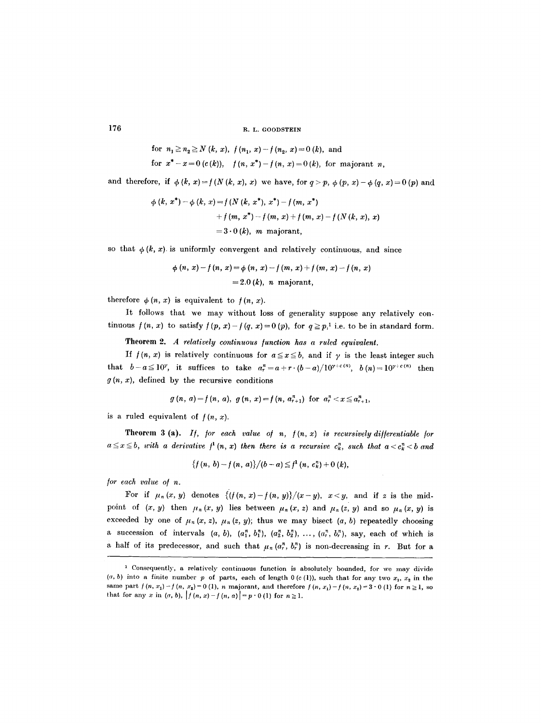for 
$$
n_1 \ge n_2 \ge N(k, x)
$$
,  $f(n_1, x) - f(n_2, x) = 0$  (k), and  
for  $x^* - x = 0$  (c (k)),  $f(n, x^*) - f(n, x) = 0$  (k), for majorant *n*,

and therefore, if  $\phi(k, x) = f(N (k, x), x)$  we have, for  $q > p$ ,  $\phi(p, x) - \phi(q, x) = 0$  (p) and

$$
\phi(k, x^*) - \phi(k, x) = f(N (k, x^*), x^*) - f(m, x^*)
$$
  
+  $f(m, x^*) - f(m, x) + f(m, x) - f(N (k, x), x)$   
=  $3 \cdot 0 (k)$ , *m* majorant,

so that  $\phi$  (k, x) is uniformly convergent and relatively continuous, and since

$$
\phi(n, x) - f(n, x) = \phi(n, x) - f(m, x) + f(m, x) - f(n, x)
$$
  
= 2.0 (k), n majorant,

therefore  $\phi(n, x)$  is equivalent to  $f(n, x)$ .

It follows that we may without loss of generality suppose any relatively continuous  $f(n, x)$  to satisfy  $f(p, x) - f(q, x) = 0$   $(p)$ , for  $q \ge p$ , i.e. to be in standard form.

Theorem 2. A relatively continuous function has a ruled equivalent.

If  $f(n, x)$  is relatively continuous for  $a \le x \le b$ , and if  $\gamma$  is the least integer such that  $b-a\leq 10^{\gamma}$ , it suffices to take  $a_r^u=a+r\cdot (b-a)/10^{\gamma+c(n)}$ ,  $b(n)=10^{\gamma+c(n)}$  then  $g(n, x)$ , defined by the recursive conditions

$$
g(n, a) = f(n, a), g(n, x) = f(n, a_{r+1}^n)
$$
 for  $a_r^n < x \le a_{r+1}^n$ ,

is a ruled equivalent of  $f(n, x)$ .

Theorem 3 (a). *If, for each value of n,*  $f(n, x)$  *is recursively differentiable for*  $a \le x \le b$ , with a derivative  $f^1(n, x)$  then there is a recursive  $c^n_k$ , such that  $a < c^n_k < b$  and

$$
\frac{f(n, b) - f(n, a)}{b - a} \leq f^1(n, c_k^n) + 0 (k),
$$

*/or each value o/ n.* 

For if  $\mu_n(x, y)$  denotes  $\left\{\frac{(f(n, x) - f(n, y)}{x - y}, x < y, \text{ and if } z \text{ is the mid-} \right\}$ point of  $(x, y)$  then  $\mu_n(x, y)$  lies between  $\mu_n(x, z)$  and  $\mu_n(z, y)$  and so  $\mu_n(x, y)$  is exceeded by one of  $\mu_n(x, z)$ ,  $\mu_n(z, y)$ ; thus we may bisect  $(a, b)$  repeatedly choosing a succession of intervals  $(a, b)$ ,  $(a_1^n, b_1^n)$ ,  $(a_2^n, b_2^n)$ , ...,  $(a_r^n, b_r^n)$ , say, each of which is a half of its predecessor, and such that  $\mu_n(a_i^n, b_i^n)$  is non-decreasing in r. But for a

<sup>&</sup>lt;sup>1</sup> Consequently, a relatively continuous function is absolutely bounded, for we may divide  $(a, b)$  into a finite number p of parts, each of length 0 (c (1)), such that for any two  $x_1, x_2$  in the same part  $f(n, x_1)-f(n, x_2)=0$  (1), n majorant, and therefore  $f(n, x_1)-f(n, x_2)= 3 \cdot 0$  (1) for  $n \ge 1$ , so that for any *x* in  $(a, b)$ ,  $|f(n, x)-f(n, a)|=p \cdot 0 (1)$  for  $n \ge 1$ .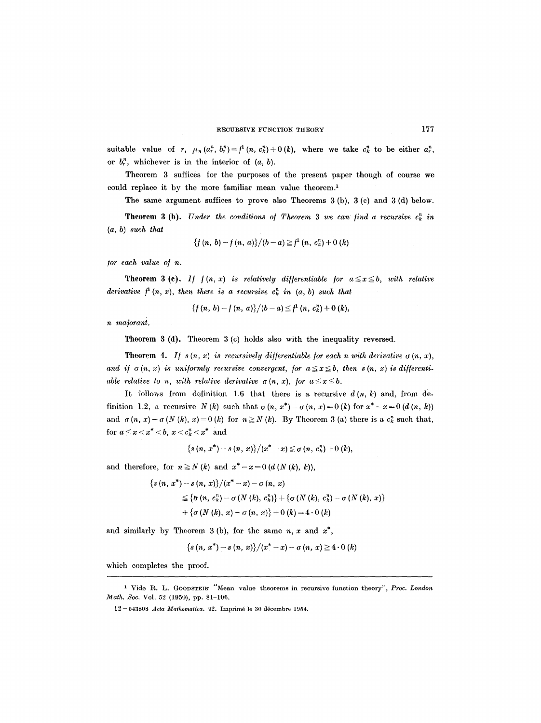suitable value of r,  $\mu_n (a_r^n, b_r^n) = f^1(n, c_k^n) + 0 (k)$ , where we take  $c_k^n$  to be either  $a_r^n$ , or  $b_r^n$ , whichever is in the interior of  $(a, b)$ .

Theorem 3 suffices for the purposes of the present paper though of course we could replace it by the more familiar mean value theorem.<sup>1</sup>

The same argument suffices to prove also Theorems 3 (b), 3 (c) and 3 (d) below.

**Theorem 3 (b).** *Under the conditions of Theorem 3 we can find a recursive*  $c_k^n$  in *(a, b) such that* 

$$
\{f(n, b)-f(n, a)\}/(b-a) \geq f^{1}(n, c_{k}^{n})+0 (k)
$$

*tor each value of n.* 

**Theorem 3 (c).** If  $f(n, x)$  is relatively differentiable for  $a \leq x \leq b$ , with relative *derivative*  $f^{1}(n, x)$ *, then there is a recursive*  $c_{k}^{n}$  *in*  $(a, b)$  *such that* 

$$
\{f(n, b)-f(n, a)\}/(b-a) \leq f^{1}(n, c_{k}^{n})+0 (k),
$$

 $n$  *majorant.* 

Theorem 3 (d). Theorem 3 (c) holds also with the inequality reversed.

**Theorem 4.** *If*  $s(n, x)$  *is recursively differentiable for each n with derivative*  $\sigma(n, x)$ , *and if*  $\sigma(n, x)$  *is uniformly recursive convergent, for*  $a \leq x \leq b$ , then  $s(n, x)$  *is differentiable relative to n, with relative derivative*  $\sigma(n, x)$ *, for*  $a \leq x \leq b$ *.* 

It follows from definition 1.6 that there is a recursive  $d(n, k)$  and, from definition 1.2, a recursive  $N(k)$  such that  $\sigma(n, x^*) - \sigma(n, x) = 0$  (k) for  $x^* - x = 0$  (d  $(n, k)$ ) and  $\sigma(n, x) - \sigma(N(k), x) = 0 (k)$  for  $n \geq N(k)$ . By Theorem 3 (a) there is a  $c_k^n$  such that, for  $a \le x < x^* < b$ ,  $x < c_k^n < x^*$  and

$$
\frac{1}{2}(s(n, x^*)-s(n, x)\}/(x^*-x)\leq \sigma(n, c_k^n)+0(k),
$$

and therefore, for  $n \ge N(k)$  and  $x^* - x = 0$  (d (N (k), k)),

$$
{s (n, x*) - s (n, x)}/(x* - x) - \sigma (n, x)
$$
  
\n
$$
\leq {b (n, cnk) - \sigma (N (k), cnk)} + { \sigma (N (k), cnk) - \sigma (N (k), x)}+ { \sigma (N (k), x) - \sigma (n, x)} + 0 (k) = 4 \cdot 0 (k)
$$

and similarly by Theorem 3 (b), for the same  $n, x$  and  $x^*$ ,

$$
\{s(n, x^*) - s(n, x)\}/(x^* - x) - \sigma(n, x) \ge 4 \cdot 0 (k)
$$

which completes the proof.

<sup>&</sup>lt;sup>1</sup> Vide R. L. GOODSTEIN "Mean value theorems in recursive function theory", *Proc. London Math. Soc.* Vol. 52 (1950), pp. 81-106.

<sup>12- 543808</sup> *Acts Mathematica.* 92. Imprim6 le 30 d6cembre 1954.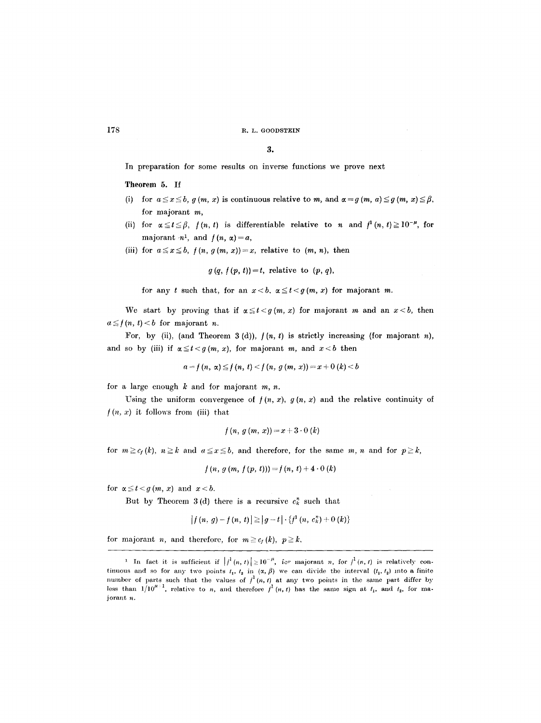**3.** 

In preparation for some results on inverse functions we prove next

Theorem 5. If

- (i) for  $a \le x \le b$ ,  $g(m, x)$  is continuous relative to m, and  $\alpha = g(m, a) \le g(m, x) \le \beta$ , for majorant m,
- (ii) for  $\alpha \le t \le \beta$ ,  $f(n, t)$  is differentiable relative to n and  $f^1(n, t) \ge 10^{-\mu}$ , for majorant  $n^1$ , and  $f(n, \alpha) = a$ ,
- (iii) for  $a \le x \le b$ ,  $f(n, g(m, x)) = x$ , relative to  $(m, n)$ , then

$$
g(q, f(p, t)) = t
$$
, relative to  $(p, q)$ ,

for any t such that, for an  $x < b$ ,  $\alpha \leq t < g(m, x)$  for majorant m.

We start by proving that if  $\alpha \leq t < g(m, x)$  for majorant m and an  $x < b$ , then  $a \leq f(n, t) < b$  for majorant *n*.

For, by (ii), (and Theorem 3 (d)), */(n, t)* is strictly increasing (for majorant *n),*  and so by (iii) if  $\alpha \leq t < g(m, x)$ , for majorant *m*, and  $x < b$  then

$$
a = f(n, \alpha) \leq f(n, t) < f(n, g(m, x)) = x + 0 (k) < b
$$

for a large enough  $k$  and for majorant  $m, n$ .

Using the uniform convergence of  $f(n, x)$ ,  $g(n, x)$  and the relative continuity of  $f(n, x)$  it follows from (iii) that

$$
f(n, g(m, x)) = x + 3 \cdot 0 (k)
$$

for  $m \ge c_f(k)$ ,  $n \ge k$  and  $a \le x \le b$ , and therefore, for the same m, n and for  $p \ge k$ ,

$$
f(n, g(m, f(p, t))) = f(n, t) + 4 \cdot 0 (k)
$$

for  $\alpha \leq t < g(m, x)$  and  $x < b$ .

But by Theorem 3(d) there is a recursive  $c_k^n$  such that

$$
|f(n, g)-f(n, t)| \geq |g-t| \cdot \{f^{1}(n, c_{k}^{n})+0 (k)\}\
$$

for majorant *n*, and therefore, for  $m \geq c_f (k)$ ,  $p \geq k$ ,

<sup>&</sup>lt;sup>1</sup> In fact it is sufficient if  $|f^1(n, t)| \geq 10^{-\mu}$ , for majorant *n*, for  $f^1(n, t)$  is relatively continuous and so for any two points  $t_1$ ,  $t_2$  in  $(\alpha, \beta)$  we can divide the interval  $(t_1, t_2)$  into a finite number of parts such that the values of  $f^1(n, t)$  at any two points in the same part differ by less than  $1/10^{n+1}$ , relative to n, and therefore  $f^1(n, t)$  has the same sign at  $t_1$ , and  $t_2$ , for majorant n.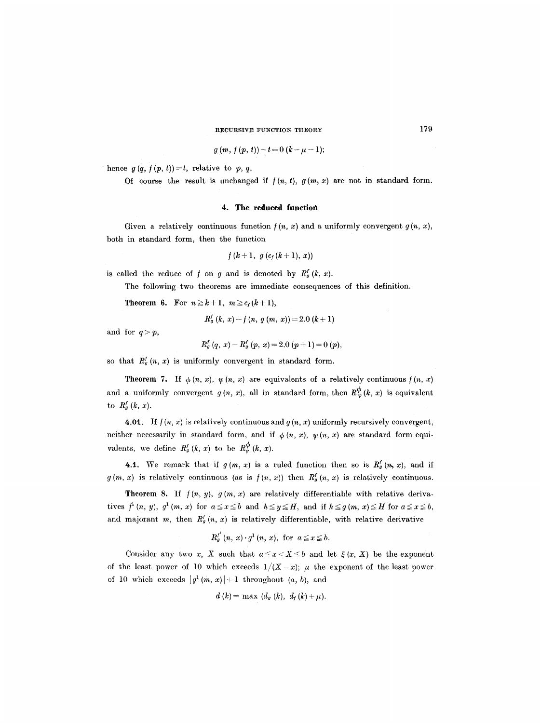$$
g(m, f(p, t)) - t = 0 (k - \mu - 1);
$$

hence  $g(q, f(p, t))=t$ , relative to p, q.

Of course the result is unchanged if  $f(n, t)$ ,  $g(m, x)$  are not in standard form.

### **4. The reduced functiot~**

Given a relatively continuous function  $f(n, x)$  and a uniformly convergent  $g(n, x)$ , both in standard form, then the function

$$
f(k+1, g(c_f(k+1), x))
$$

is called the reduce of f on g and is denoted by  $R_q^f(k, x)$ .

The following two theorems are immediate consequences of this definition.

**Theorem 6.** For  $n \geq k+1$ ,  $m \geq c_f(k+1)$ ,

$$
R_g^f(k, x) - f(n, g(m, x)) = 2.0 (k+1)
$$

and for  $q>p$ ,

$$
R_g^f(q, x) - R_g^f(p, x) = 2.0 (p+1) = 0 (p),
$$

so that  $R_g^f(n, x)$  is uniformly convergent in standard form.

**Theorem 7.** If  $\phi(n, x)$ ,  $\psi(n, x)$  are equivalents of a relatively continuous  $f(n, x)$ and a uniformly convergent  $g(n, x)$ , all in standard form, then  $R_{\varphi}^{\phi}(k, x)$  is equivalent to  $R_g^f(k, x)$ .

4.01. If  $f(n, x)$  is relatively continuous and  $g(n, x)$  uniformly recursively convergent, neither necessarily in standard form, and if  $\phi(n, x)$ ,  $\psi(n, x)$  are standard form equivalents, we define  $R_g^f(k, x)$  to be  $R_\nu^{\phi}(k, x)$ .

4.1. We remark that if  $g(m, x)$  is a ruled function then so is  $R_g(r, x)$ , and if  $g(m, x)$  is relatively continuous (as is  $f(n, x)$ ) then  $R_g^f(n, x)$  is relatively continuous.

**Theorem 8.** If  $f(n, y)$ ,  $g(m, x)$  are relatively differentiable with relative derivatives  $f^1(n, y)$ ,  $g^1(m, x)$  for  $a \le x \le b$  and  $h \le y \le H$ , and if  $h \le g(m, x) \le H$  for  $a \le x \le b$ , and majorant m, then  $R_g^f(n, x)$  is relatively differentiable, with relative derivative

$$
R_g^f\ (n, \ x)\cdot g^1\ (n, \ x), \ \text{for} \ \ a\leqq x\leqq b
$$

Consider any two x, X such that  $a \leq x < X \leq b$  and let  $\xi(x, X)$  be the exponent of the least power of 10 which exceeds  $1/(X-x)$ ;  $\mu$  the exponent of the least power of 10 which exceeds  $|g^1(m, x)| + 1$  throughout  $(a, b)$ , and

$$
d(k) = \max(d_g(k), d_f(k) + \mu).
$$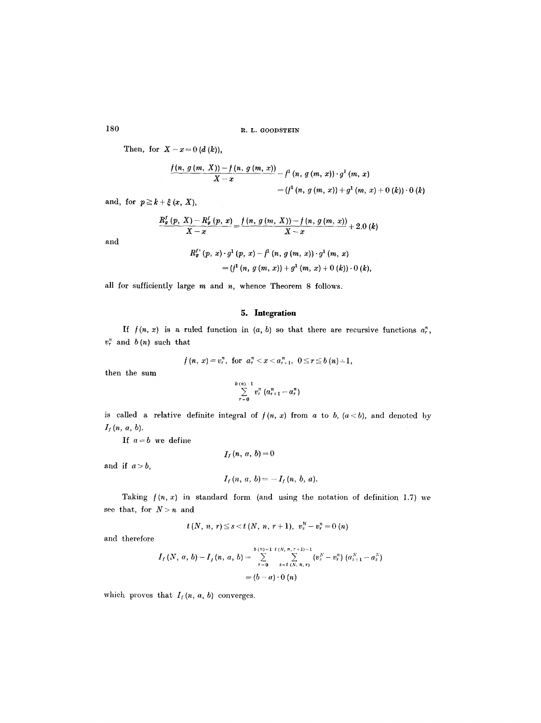Then, for  $X - x = 0$   $(d (k))$ ,

$$
\frac{f(n, g(m, X)) - f(n, g(m, x))}{X - x} - f^{1}(n, g(m, x)) \cdot g^{1}(m, x)
$$
  
=  $(f^{1}(n, g(m, x)) + g^{1}(m, x) + 0 (k)) \cdot 0 (k)$ 

and, for  $p \geq k + \xi(x, X)$ ,

$$
\frac{R_g^f(p, X) - R_g^f(p, x)}{X - x} = \frac{f(n, g(m, X)) - f(n, g(m, x))}{X - x} + 2.0 (k)
$$

and

$$
R_g^{f'}(p, x) \cdot g^1(p, x) - f^1(n, g(m, x)) \cdot g^1(m, x)
$$
  
=  $(f^1(n, g(m, x)) + g^1(m, x) + 0 (k)) \cdot 0 (k),$ 

all for sufficiently large m and *n,* whence Theorem 8 follows.

# **5. Integration**

If  $f(n, x)$  is a ruled function in  $(a, b)$  so that there are recursive functions  $a_r^n$ ,  $v_r^n$  and  $b(n)$  such that

$$
f(n, x) = v_r^n
$$
, for  $a_r^n < x < a_{r+1}^n$ ,  $0 \le r \le b(n) - 1$ ,

then the sum

$$
\sum_{r=0}^{b(n)-1} v_r^n (a_{r+1}^n - a_r^n)
$$

is called a relative definite integral of  $f(n, x)$  from  $a$  to  $b$ ,  $(a < b)$ , and denoted by  $I_f(n, a, b)$ .

If  $a = b$  we define

 $I_f(n, a, b)=0$ 

and if  $a > b$ ,

$$
I_f(n, a, b) = -I_f(n, b, a).
$$

Taking  $f(n, x)$  in standard form (and using the notation of definition 1.7) we see that, for  $N>n$  and

$$
t\ (N, n, r) \leq s < t\ (N, n, r+1), \ v_s^N - v_r^n = 0 \ (n)
$$

and therefore

$$
I_f(N, a, b) - I_f(n, a, b) = \sum_{r=0}^{b(n)+1} \sum_{s=t(N, n, r)}^{t(N, n, r+1)-1} (v_s^N - v_r^N) (a_{s+1}^N - a_s^N)
$$
  
=  $(b-a) \cdot 0 (n)$ 

which proves that  $I_f(n, a, b)$  converges.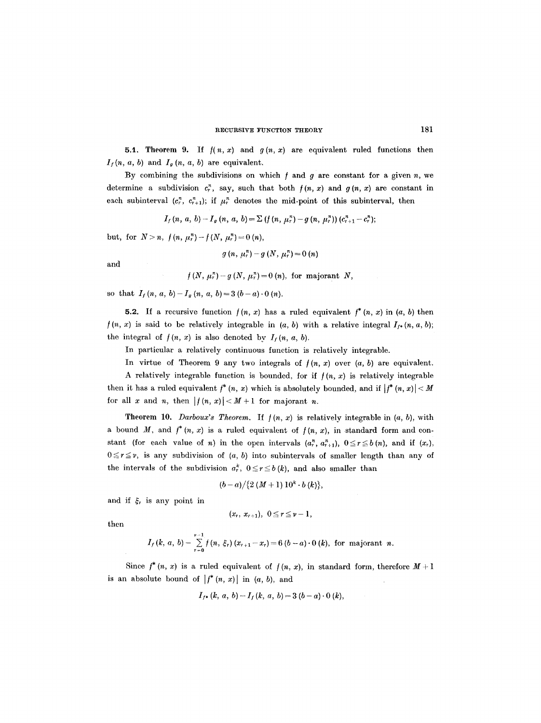5.1. Theorem 9. If  $f(n, x)$  and  $g(n, x)$  are equivalent ruled functions then  $I_f(n, a, b)$  and  $I_g(n, a, b)$  are equivalent.

By combining the subdivisions on which  $f$  and  $g$  are constant for a given  $n$ , we determine a subdivision  $c_r^n$ , say, such that both  $f(n, x)$  and  $g(n, x)$  are constant in each subinterval  $(c_r^n, c_{r+1}^n)$ ; if  $\mu_r^n$  denotes the mid-point of this subinterval, then

$$
I_f(n, a, b) - I_g(n, a, b) = \sum (f(n, \mu_r^n) - g(n, \mu_r^n)) (c_{r+1}^n - c_r^n);
$$

but, for  $N > n$ ,  $f(n, \mu_r^n) - f(N, \mu_r^n) = 0$  (*n*),

$$
g\left(n,\mu_{r}^{n}\right)-g\left(N,\mu_{r}^{n}\right)=0\left(n\right)
$$

and

 $f(N, \mu_r^n) - g(N, \mu_r^n) = 0$  (n), for majorant N,

so that  $I_f(n, a, b) - I_g(n, a, b) = 3(b-a) \cdot 0(n)$ .

5.2. If a recursive function  $f(n, x)$  has a ruled equivalent  $f^*(n, x)$  in  $(a, b)$  then  $f(n, x)$  is said to be relatively integrable in  $(a, b)$  with a relative integral  $I_{f^*}(n, a, b)$ ; the integral of  $f(n, x)$  is also denoted by  $I_f(n, a, b)$ .

In particular a relatively continuous function is relatively integrable.

In virtue of Theorem 9 any two integrals of  $f(n, x)$  over  $(a, b)$  are equivalent. A relatively integrable function is bounded, for if  $f(n, x)$  is relatively integrable then it has a ruled equivalent  $f^*(n, x)$  which is absolutely bounded, and if  $|f^*(n, x)| < M$ for all x and n, then  $|f(n, x)| < M + 1$  for majorant n.

Theorem 10. *Darboux's Theorem.* If  $f(n, x)$  is relatively integrable in  $(a, b)$ , with a bound M, and  $f^*(n, x)$  is a ruled equivalent of  $f(n, x)$ , in standard form and constant (for each value of n) in the open intervals  $(a_r^n, a_{r+1}^n)$ ,  $0 \le r \le b(n)$ , and if  $(x_r)$ ,  $0 \le r \le \nu$ , is any subdivision of (a, b) into subintervals of smaller length than any of the intervals of the subdivision  $a_r^k$ ,  $0 \le r \le b(k)$ , and also smaller than

$$
(b-a)/\{2\,(M+1)\,10^k\cdot b\,(k)\},\
$$

and if  $\xi_r$  is any point in

$$
(x_r, x_{r+1}), \; 0 \leq r \leq \nu - 1,
$$

then

$$
I_f(k, a, b) - \sum_{r=0}^{p-1} f(n, \xi_r) (x_{r+1} - x_r) = 6 (b-a) \cdot 0 (k), \text{ for majorant } n.
$$

Since  $f^*(n, x)$  is a ruled equivalent of  $f(n, x)$ , in standard form, therefore  $M + 1$ is an absolute bound of  $|f^*(n, x)|$  in  $(a, b)$ , and

$$
I_{f^*}(k, a, b) - I_f(k, a, b) = 3(b-a) \cdot 0 (k),
$$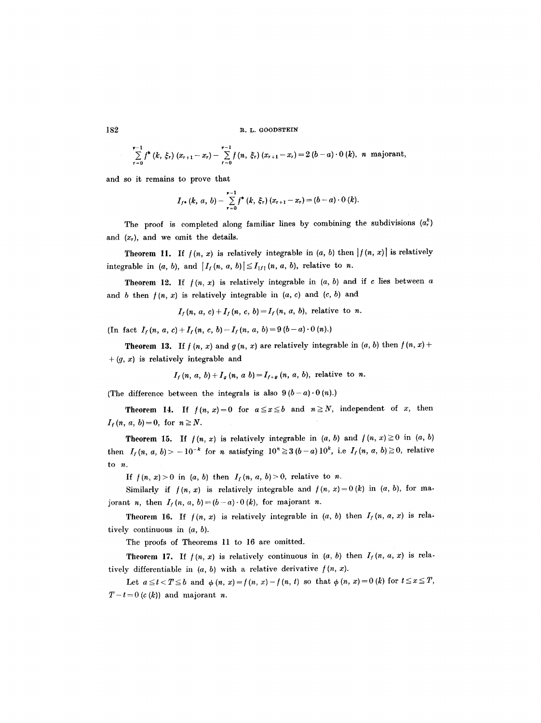$$
\sum_{r=0}^{v-1} f^*(k, \xi_r) (x_{r+1}-x_r) - \sum_{r=0}^{v-1} f(n, \xi_r) (x_{r+1}-x_r) = 2 (b-a) \cdot 0 (k), n \text{ majorant},
$$

and so it remains to prove that

$$
I_{f^*}(k, a, b) - \sum_{r=0}^{p-1} f^*(k, \xi_r) (x_{r+1} - x_r) = (b-a) \cdot 0 (k).
$$

The proof is completed along familiar lines by combining the subdivisions  $(a_r^k)$ and  $(x_r)$ , and we omit the details.

**Theorem 11.** If  $f(n, x)$  is relatively integrable in  $(a, b)$  then  $|f(n, x)|$  is relatively integrable in  $(a, b)$ , and  $|I_f(n, a, b)| \leq I_{|f|}(n, a, b)$ , relative to *n*.

Theorem 12. If  $f(n, x)$  is relatively integrable in  $(a, b)$  and if c lies between a and b then  $f(n, x)$  is relatively integrable in  $(a, c)$  and  $(c, b)$  and

 $I_f(n, a, c) + I_f(n, c, b) = I_f(n, a, b)$ , relative to n.

(In fact  $I_f(n, a, c) + I_f(n, c, b) - I_f(n, a, b) = 9(b - a) \cdot 0(n).$ )

**Theorem 13.** If  $f(n, x)$  and  $g(n, x)$  are relatively integrable in  $(a, b)$  then  $f(n, x)$  +  $+(q, x)$  is relatively integrable and

$$
I_f(n, a, b) + I_g(n, a, b) = I_{f+g}(n, a, b),
$$
 relative to n.

(The difference between the integrals is also  $9(b-a)\cdot 0(n)$ .)

**Theorem 14.** If  $f(n, x) = 0$  for  $a \le x \le b$  and  $n \ge N$ , independent of x, then  $I_f(n, a, b)=0$ , for  $n \geq N$ .

**Theorem 15.** If  $f(n, x)$  is relatively integrable in  $(a, b)$  and  $f(n, x) \ge 0$  in  $(a, b)$ then  $I_f(n, a, b) > -10^{-k}$  for n satisfying  $10^n \ge 3 (b-a) 10^k$ , i.e  $I_f(n, a, b) \ge 0$ , relative to n.

If  $f(n, x) > 0$  in  $(a, b)$  then  $I_f(n, a, b) > 0$ , relative to n.

Similarly if  $f(n, x)$  is relatively integrable and  $f(n, x) = 0$  (k) in (a, b), for majorant n, then  $I_f(n, a, b) = (b-a)\cdot 0$  (k), for majorant n.

**Theorem 16.** If  $f(n, x)$  is relatively integrable in  $(a, b)$  then  $I_f(n, a, x)$  is relatively continuous in (a, b).

The proofs of Theorems 11 to 16 are omitted.

**Theorem 17.** If  $f(n, x)$  is relatively continuous in  $(a, b)$  then  $I_f(n, a, x)$  is relatively differentiable in  $(a, b)$  with a relative derivative  $f(n, x)$ .

Let  $a\leq t < T \leq b$  and  $\phi(n, x) = f(n, x) - f(n, t)$  so that  $\phi(n, x) = 0$  (k) for  $t \leq x \leq T$ ,  $T-t=0$  (c (k)) and majorant n.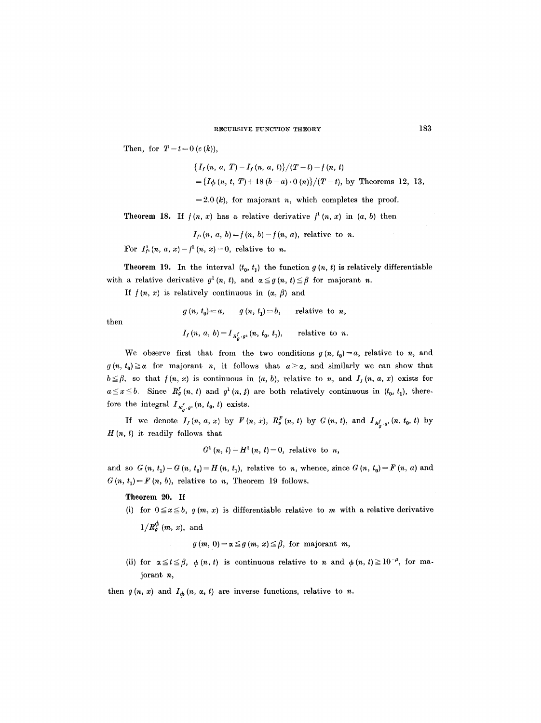Then, for  $T - t = 0$  (c (k)),

$$
\{I_f(n, a, T) - I_f(n, a, t)\}/(T - t) - f(n, t)
$$
  
=  $\{I_{\phi}(n, t, T) + 18(b - a) \cdot 0(n)\}/(T - t)$ , by Theorems 12, 13,

 $=2.0$  (k), for majorant n, which completes the proof.

**Theorem 18.** If  $f(n, x)$  has a relative derivative  $f^1(n, x)$  in  $(a, b)$  then

$$
I_{f}(n, a, b) = f(n, b) - f(n, a),
$$
 relative to n.

For  $I_1^1(n, a, x) - f^1(n, x) = 0$ , relative to *n*.

**Theorem 19.** In the interval  $(t_0, t_1)$  the function  $g(n, t)$  is relatively differentiable with a relative derivative  $g^1(n, t)$ , and  $\alpha \leq g(n, t) \leq \beta$  for majorant n.

If  $f(n, x)$  is relatively continuous in  $(\alpha, \beta)$  and

then

$$
g(n, t_0)=a
$$
,  $g(n, t_1)=b$ , relative to n,

$$
I_f(n, a, b) = I_{R^f_{-1}, q_1}(n, t_0, t_1), \quad \text{relative to } n.
$$

We observe first that from the two conditions  $g(n, t_0)=a$ , relative to n, and  $g(n, t_0) \ge \alpha$  for majorant n, it follows that  $a \ge \alpha$ , and similarly we can show that  $b \leq \beta$ , so that  $f(n, x)$  is continuous in  $(a, b)$ , relative to n, and  $I_f(n, a, x)$  exists for  $a \leq x \leq b$ . Since  $R_g^f(n, t)$  and  $g^1(n, t)$  are both relatively continuous in  $(t_0, t_1)$ , therefore the integral  $I_{R_{\alpha}^{f}, g_{1}}(n, t_{0}, t)$  exists.

If we denote  $I_f(n, a, x)$  by  $F(n, x)$ ,  $R_g^F(n, t)$  by  $G(n, t)$ , and  $I_{R_a^f, g_1}(n, t_0, t)$  by  $H(n, t)$  it readily follows that

$$
G^{1}(n, t)-H^{1}(n, t)=0, \text{ relative to } n,
$$

and so  $G(n, t_1)-G(n, t_0)=H(n, t_1)$ , relative to n, whence, since  $G(n, t_0)=F(n, a)$  and  $G(n, t_1)=F(n, b)$ , relative to n, Theorem 19 follows.

Theorem 20. If

(i) for  $0 \le x \le b$ ,  $g(m, x)$  is differentiable relative to m with a relative derivative  $1/R_q^{\phi}(m, x)$ , and

 $g(m, 0) = \alpha \leq g(m, x) \leq \beta$ , for majorant m,

(ii) for  $\alpha \leq t \leq \beta$ ,  $\phi(n, t)$  is continuous relative to n and  $\phi(n, t) \geq 10^{-\mu}$ , for majorant n,

then  $g(n, x)$  and  $I_{\phi}(n, \alpha, t)$  are inverse functions, relative to n.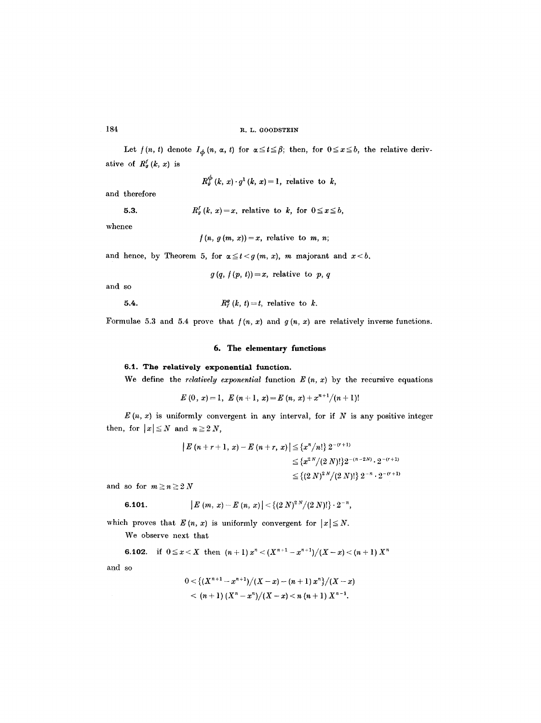Let  $f(n, t)$  denote  $I_{\phi}(n, \alpha, t)$  for  $\alpha \leq t \leq \beta$ ; then, for  $0 \leq x \leq b$ , the relative derivative of  $R_g^f(k, x)$  is

$$
R_g^{\phi}(k, x) \cdot g^1(k, x) = 1
$$
, relative to k,

and therefore 5.3.

 $R_g^f(k, x) = x$ , relative to *k*, for  $0 \le x \le b$ ,

whence

$$
f(n, g(m, x)) = x
$$
, relative to m, n;

and hence, by Theorem 5, for  $\alpha \leq t < g(m, x)$ , m majorant and  $x < b$ .

 $g(q, f(p, t)) = x$ , relative to p, q

and so

**5.4.**  $R_f^g(k, t) = t$ , relative to k.

Formulae 5.3 and 5.4 prove that  $f(n, x)$  and  $g(n, x)$  are relatively inverse functions.

# **6. The elementary functions**

# **6.t. The relatively exponential fumction.**

We define the *relatively exponential* function  $E(n, x)$  by the recursive equations

$$
E(0, x) = 1, E(n+1, x) = E(n, x) + x^{n+1}/(n+1)!
$$

 $E(n, x)$  is uniformly convergent in any interval, for if N is any positive integer then, for  $|x| \leq N$  and  $n \geq 2N$ ,

$$
\begin{aligned} \left| \ E\left( n + r + 1, \ x \right) - E\left( n + r, \ x \right) \right| &\leq \{ x^n / n! \} \ 2^{-(r+1)} \\ &\leq \{ x^{2 \, N} / (2 \, N)! \} 2^{-(n-2N)} \cdot 2^{-(r+1)} \\ &\leq \{ (2 \, N)^{2 \, N} / (2 \, N)! \} \ 2^{-n} \cdot 2^{-(r+1)} \end{aligned}
$$

and so for  $m \ge n \ge 2N$ 

**6.101.** 
$$
|E(m, x)-E(n, x)|<\{(2\,N)^{2\,N}/(2\,N)!\}\cdot 2^{-n},
$$

which proves that  $E(n, x)$  is uniformly convergent for  $|x| \le N$ .

We observe next that

**6.102.** if 
$$
0 \le x < X
$$
 then  $(n+1)x^n < (X^{n+1} - x^{n+1})/(X - x) < (n+1) X^n$ 

and so

$$
0 < \{(X^{n+1}-x^{n+1})/(X-x)-(n+1) x^n\}/(X-x)
$$
  

$$
< (n+1) (X^n-x^n)/(X-x) < n (n+1) X^{n-1}.
$$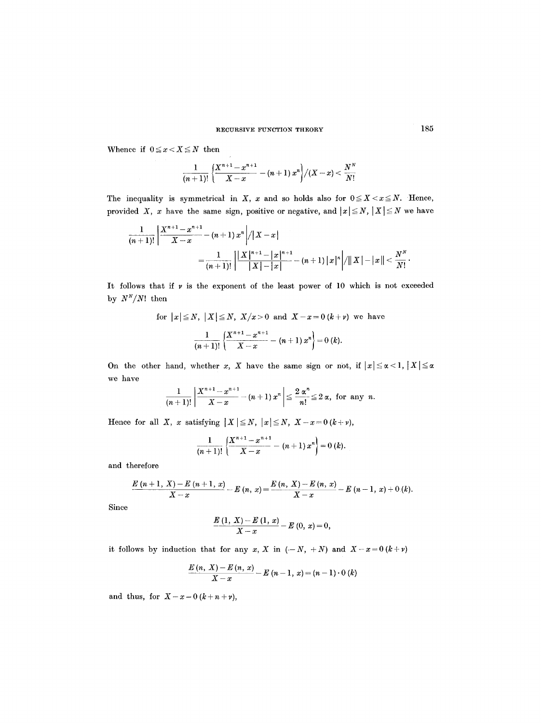Whence if  $0 \le x < X \le N$  then

$$
\frac{1}{(n+1)!}\left(\frac{X^{n+1}-x^{n+1}}{X-x}-(n+1) x^n\right)/(X-x) < \frac{N^N}{N!}
$$

The inequality is symmetrical in *X*, *x* and so holds also for  $0 \le X < x \le N$ . Hence, provided X, x have the same sign, positive or negative, and  $|x| \leq N$ ,  $|X| \leq N$  we have

$$
\frac{1}{(n+1)!}\left|\frac{X^{n+1}-x^{n+1}}{X-x}-(n+1)\,x^n\right|/\left|X-x\right|
$$
\n
$$
=\frac{1}{(n+1)!}\left|\frac{|X|^{n+1}-|x|^{n+1}}{|X|-|x|}-(n+1)\,|x|^n\right|/\|X\|-|x\|<\frac{N^N}{N!}.
$$

It follows that if  $\nu$  is the exponent of the least power of 10 which is not exceeded by  $N^N/N!$  then

for 
$$
|x| \le N
$$
,  $|X| \le N$ ,  $X/x > 0$  and  $X - x = 0$   $(k + v)$  we have  

$$
\frac{1}{(n+1)!} \left\{ \frac{X^{n+1} - x^{n+1}}{X - x} - (n+1) x^n \right\} = 0
$$
 (k).

On the other hand, whether x, X have the same sign or not, if  $|x| \le \alpha < 1$ ,  $|X| \le \alpha$ we have

$$
\frac{1}{(n+1)!}\left|\frac{X^{n+1}-x^{n+1}}{X-x}-(n+1)\,x^n\right|\leq \frac{2\,\alpha^n}{n!}\leq 2\,\alpha,\,\,\text{for any}\,\,n.
$$

Hence for all X, x satisfying  $|X| \leq N$ ,  $|x| \leq N$ ,  $X - x = 0$   $(k + \nu)$ ,

$$
\frac{1}{(n+1)!}\left(\frac{X^{n+1}-x^{n+1}}{X-x}-(n+1)x^n\right)=0(k).
$$

and therefore

$$
\frac{E(n+1, X)-E(n+1, x)}{X-x}-E(n, x)=\frac{E(n, X)-E(n, x)}{X-x}-E(n-1, x)+0.(k).
$$

Since

$$
\frac{E(1, X) - E(1, x)}{X - x} - E(0, x) = 0,
$$

it follows by induction that for any x, X in  $(-N, +N)$  and  $X-x=0$   $(k+y)$ 

$$
\frac{E(n, X) - E(n, x)}{X - x} - E(n - 1, x) = (n - 1) \cdot 0 (k)
$$

and thus, for  $X-x=0$   $(k+n+y)$ ,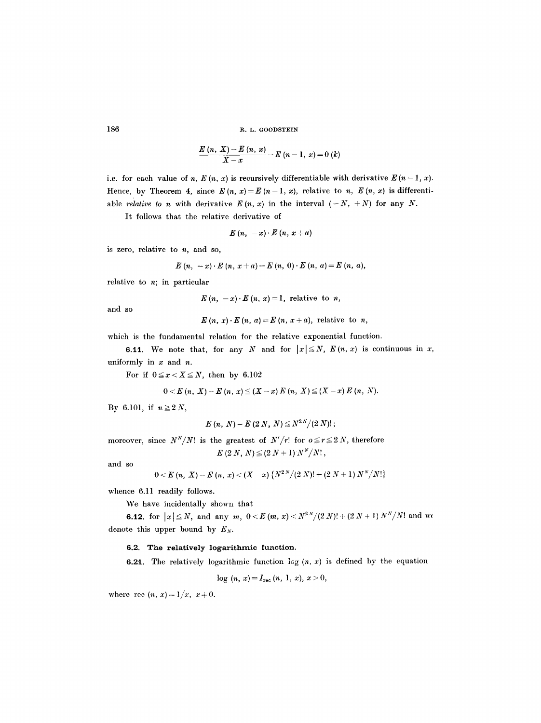$$
\frac{E(n, X)-E(n, x)}{X-x}-E(n-1, x)=0 (k)
$$

i.e. for each value of *n*,  $E(n, x)$  is recursively differentiable with derivative  $E(n-1, x)$ . Hence, by Theorem 4, since  $E(n, x) = E(n-1, x)$ , relative to n,  $E(n, x)$  is differentiable *relative to n* with derivative  $E(n, x)$  in the interval  $(-N, +N)$  for any N.

It follows that the relative derivative of

$$
E(n, -x) \cdot E(n, x+a)
$$

is zero, relative to  $n$ , and so,

$$
E(n, -x) \cdot E(n, x+a) = E(n, 0) \cdot E(n, a) = E(n, a),
$$

relative to  $n$ ; in particular

 $E(n, -x) \cdot E(n, x) = 1$ , relative to n,

and so

 $E(n, x) \cdot E(n, a) = E(n, x + a)$ , relative to n,

which is the fundamental relation for the relative exponential function.

6.11. We note that, for any N and for  $|x| \leq N$ ,  $E(n, x)$  is continuous in x, uniformly in  $x$  and  $n$ .

For if  $0 \le x < X \le N$ , then by 6.102

$$
0
$$

By 6.101, if  $n \ge 2N$ ,

$$
E(n, N) - E(2 N, N) \leq N^{2N}/(2 N)!
$$
;

moreover, since  $N^N/N!$  is the greatest of  $N^r/r!$  for  $0 \le r \le 2 N$ , therefore  $E(2 N, N) \leq (2 N + 1) N^N/N!$ 

and so

$$
0
$$

whence 6.11 readily follows.

We have incidentally shown that

6.12. for  $|x| \le N$ , and any  $m, 0 \le E(m,x) \le N^{2N}/(2N)! + (2N+1)N^{N}/N!$  and we denote this upper bound by  $E<sub>N</sub>$ .

# 6.2. The relatively logarithmic function.

6.21. The relatively logarithmic function  $log (n, x)$  is defined by the equation

$$
\log (n, x) = I_{\text{rec}} (n, 1, x), x > 0,
$$

where rec  $(n, x) = 1/x, x \neq 0$ .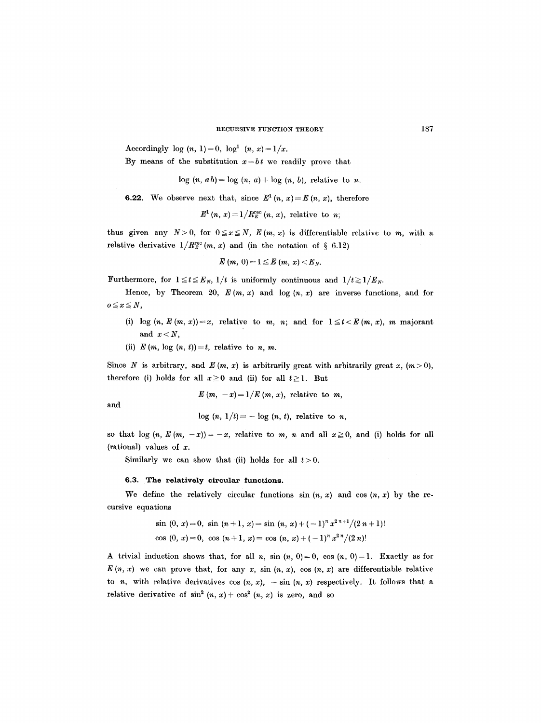Accordingly  $log (n, 1) = 0$ ,  $log^1 (n, x) = 1/x$ .

By means of the substitution  $x = b t$  we readily prove that

 $log (n, ab) = log (n, a) + log (n, b)$ , relative to n.

6.22. We observe next that, since  $E^1(n, x) = E(n, x)$ , therefore

 $E^1(n, x) = 1/R<sub>E</sub><sup>rec</sup>(n, x),$  relative to *n*;

thus given any  $N>0$ , for  $0 \le x \le N$ ,  $E(m, x)$  is differentiable relative to m, with a relative derivative  $1/R<sub>E</sub><sup>rec</sup>(m, x)$  and (in the notation of § 6.12)

$$
E(m, 0)=1\leq E(m, x)
$$

Furthermore, for  $1 \le t \le E_N$ ,  $1/t$  is uniformly continuous and  $1/t \ge 1/E_N$ .

Hence, by Theorem 20,  $E(m, x)$  and log  $(n, x)$  are inverse functions, and for  $o \le x \le N$ ,

- (i)  $log (n, E(m, x)) = x$ , relative to m, n; and for  $1 \le t < E(m, x)$ , m majorant and  $x < N$ ,
- (ii) E  $(m, \log(n, t)) = t$ , relative to n, m.

Since N is arbitrary, and  $E(m, x)$  is arbitrarily great with arbitrarily great x,  $(m > 0)$ , therefore (i) holds for all  $x \ge 0$  and (ii) for all  $t \ge 1$ . But

$$
E(m, -x) = 1/E(m, x),
$$
 relative to m,

and

 $\log (n, 1/t) = - \log (n, t)$ , relative to *n*,

so that  $log (n, E (m, -x)) = -x$ , relative to m, n and all  $x \ge 0$ , and (i) holds for all (rational) values of x.

Similarly we can show that (ii) holds for all  $t > 0$ .

### **6.3. The relatively circular functions.**

We define the relatively circular functions  $sin (n, x)$  and  $cos (n, x)$  by the recursive equations

$$
\sin (0, x) = 0, \sin (n + 1, x) = \sin (n, x) + (-1)^n x^{2n+1}/(2n+1)!
$$
  
cos (0, x) = 0, cos (n + 1, x) = cos (n, x) + (-1)^n x^{2n}/(2n)!

A trivial induction shows that, for all n, sin  $(n, 0) = 0$ , cos  $(n, 0) = 1$ . Exactly as for  $E(n, x)$  we can prove that, for any x, sin  $(n, x)$ , cos  $(n, x)$  are differentiable relative to n, with relative derivatives cos  $(n, x)$ ,  $-\sin (n, x)$  respectively. It follows that a relative derivative of  $\sin^2(n, x) + \cos^2(n, x)$  is zero, and so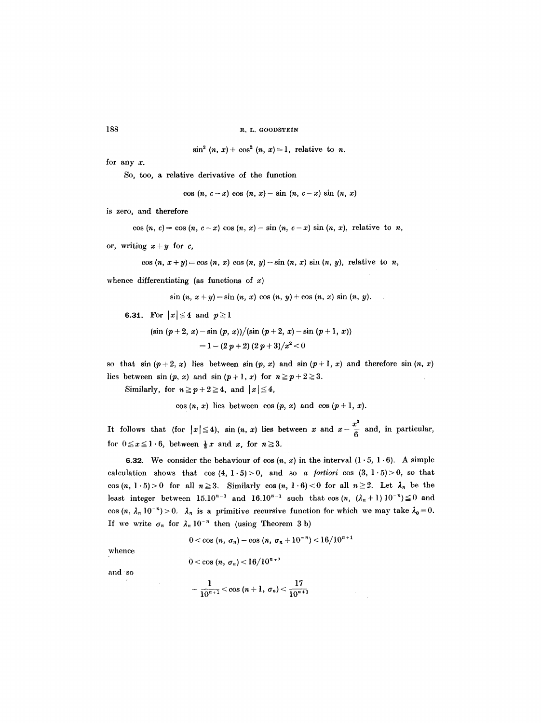$\sin^2(n, x) + \cos^2(n, x) = 1$ , relative to n.

for any x.

So, too, a relative derivative of the function

cos  $(n, c-x)$  cos  $(n, x)$  - sin  $(n, c-x)$  sin  $(n, x)$ 

is zero, and therefore

cos  $(n, c) = \cos (n, c-x) \cos (n, x) - \sin (n, c-x) \sin (n, x)$ , relative to n,

or, writing  $x + y$  for c,

cos  $(n, x + y) = \cos (n, x) \cos (n, y) - \sin (n, x) \sin (n, y)$ , relative to n,

whence differentiating (as functions of  $x$ )

 $\sin (n, x + y) = \sin (n, x) \cos (n, y) + \cos (n, x) \sin (n, y).$ 

**6.31.** For  $|x| \leq 4$  and  $p \geq 1$ 

 $(\sin (p+2, x) - \sin (p, x))/( \sin (p+2, x) - \sin (p+1, x))$  $=1-(2p+2)(2p+3)/x^2<0$ 

so that  $\sin (p+2, x)$  lies between  $\sin (p, x)$  and  $\sin (p+1, x)$  and therefore  $\sin (n, x)$ lies between sin  $(p, x)$  and sin  $(p + 1, x)$  for  $n \ge p + 2 \ge 3$ .

Similarly, for  $n \ge p+2 \ge 4$ , and  $|x| \le 4$ ,

cos  $(n, x)$  lies between cos  $(p, x)$  and cos  $(p+1, x)$ .

It follows that (for  $|x| \le 4$ ), sin  $(n, x)$  lies between x and  $x - \frac{x^3}{6}$  and, in particular, for  $0 \le x \le 1.6$ , between  $\frac{1}{2}x$  and x, for  $n \ge 3$ .

**6.32.** We consider the behaviour of cos  $(n, x)$  in the interval  $(1 \cdot 5, 1 \cdot 6)$ . A simple calculation shows that  $\cos (4, 1.5) > 0$ , and so *a fortiori*  $\cos (3, 1.5) > 0$ , so that cos  $(n, 1\cdot 5) > 0$  for all  $n \ge 3$ . Similarly cos  $(n, 1\cdot 6) < 0$  for all  $n \ge 2$ . Let  $\lambda_n$  be the least integer between  $15.10^{n-1}$  and  $16.10^{n-1}$  such that cos(n,  $(\lambda_n + 1) 10^{-n} \le 0$  and cos  $(n, \lambda_n 10^{-n}) > 0$ .  $\lambda_n$  is a primitive recursive function for which we may take  $\lambda_0 = 0$ . If we write  $\sigma_n$  for  $\lambda_n 10^{-n}$  then (using Theorem 3 b)

$$
0<\cos{(n, \sigma_n)}-\cos{(n, \sigma_n+10^{-n})}<16/10^{n+1}
$$

whence

 $0 < \cos{(n, \sigma_n)} < 16/10^{n+1}$ 

and so

$$
\frac{1}{10^{n+1}} < \cos\left(n+1\right), \sigma_n < \frac{17}{10^{n+1}}
$$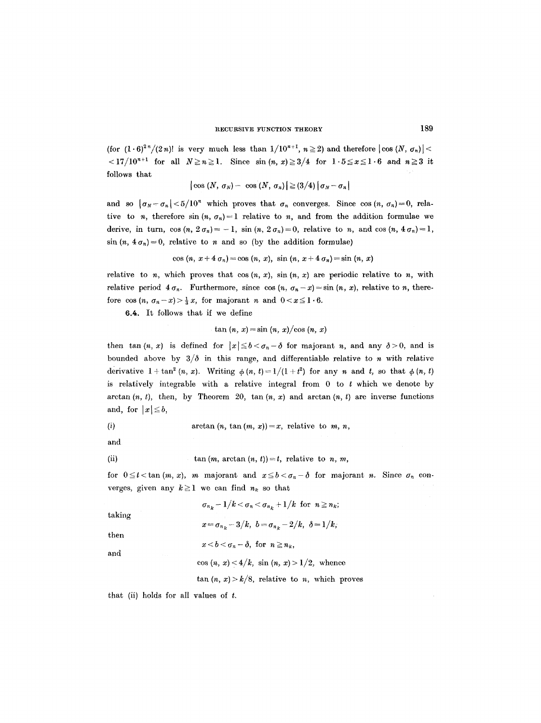(for  $(1.6)^{2n}/(2n)!$  is very much less than  $1/10^{n+1}$ ,  $n \ge 2$ ) and therefore  $|\cos(N, \sigma_n)|$  <  $17/10^{n+1}$  for all  $N \ge n \ge 1$ . Since  $\sin(n, x) \ge 3/4$  for  $1 \cdot 5 \le x \le 1 \cdot 6$  and  $n \ge 3$  it follows that

$$
|\cos (N, \sigma_N) - \cos (N, \sigma_n)| \geq (3/4) |\sigma_N - \sigma_n|
$$

and so  $|\sigma_N - \sigma_n| < 5/10^n$  which proves that  $\sigma_n$  converges. Since cos  $(n, \sigma_n) = 0$ , relative to n, therefore  $\sin (n, \sigma_n) = 1$  relative to n, and from the addition formulae we derive, in turn,  $\cos (n, 2\sigma_n) = -1$ ,  $\sin (n, 2\sigma_n) = 0$ , relative to n, and  $\cos (n, 4\sigma_n) = 1$ ,  $\sin (n, 4 \sigma_n) = 0$ , relative to n and so (by the addition formulae)

$$
\cos (n, x + 4 \sigma_n) = \cos (n, x), \sin (n, x + 4 \sigma_n) = \sin (n, x)
$$

relative to n, which proves that  $cos (n, x)$ ,  $sin (n, x)$  are periodic relative to n, with *relative period*  $4 \sigma_n$ . Furthermore, since cos  $(n, \sigma_n - x) = \sin(n, x)$ , relative to *n*, therefore cos  $(n, \sigma_n-x) > \frac{1}{3}x$ , for majorant n and  $0 < x \leq 1.6$ .

6.4. It follows that if we define

$$
\tan (n, x) = \sin (n, x) / \cos (n, x)
$$

then tan(n, x) is defined for  $|x| \le b < \sigma_n - \delta$  for majorant n, and any  $\delta > 0$ , and is bounded above by  $3/\delta$  in this range, and differentiable relative to n with relative derivative  $1 + \tan^2(n, x)$ . Writing  $\phi(n, t) = 1/(1 + t^2)$  for any n and t, so that  $\phi(n, t)$ is relatively integrable with a relative integral from  $0$  to  $t$  which we denote by arctan  $(n, t)$ , then, by Theorem 20, tan  $(n, x)$  and arctan  $(n, t)$  are inverse functions and, for  $|x| \leq b$ ,

(i) 
$$
\arctan (n, \tan (m, x)) = x
$$
, relative to m, n,

and

(ii) 
$$
\tan (m, \arctan (n, t)) = t
$$
, relative to *n*, *m*,

for  $0 \leq t < \tan(m, x)$ , m majorant and  $x \leq b < \sigma_n - \delta$  for majorant n. Since  $\sigma_n$  converges, given any  $k \ge 1$  we can find  $n_k$  so that

taking

 $\sigma_{n_k} - 1/k < \sigma_n < \sigma_{n_k} + 1/k$  for  $n \ge n_k$ ;  $x = \sigma_{n_k} - 3/k$ ,  $b = \sigma_{n_k} - 2/k$ ,  $\delta = 1/k$ ,

then

and

$$
x < b < \sigma_n - \delta, \text{ for } n \geq n_k,
$$

 $\cos (n, x) < 4/k$ ,  $\sin (n, x) > 1/2$ , whence

 $\tan (n, x) > k/8$ , relative to *n*, which proves

that (ii) holds for all values of  $t$ .